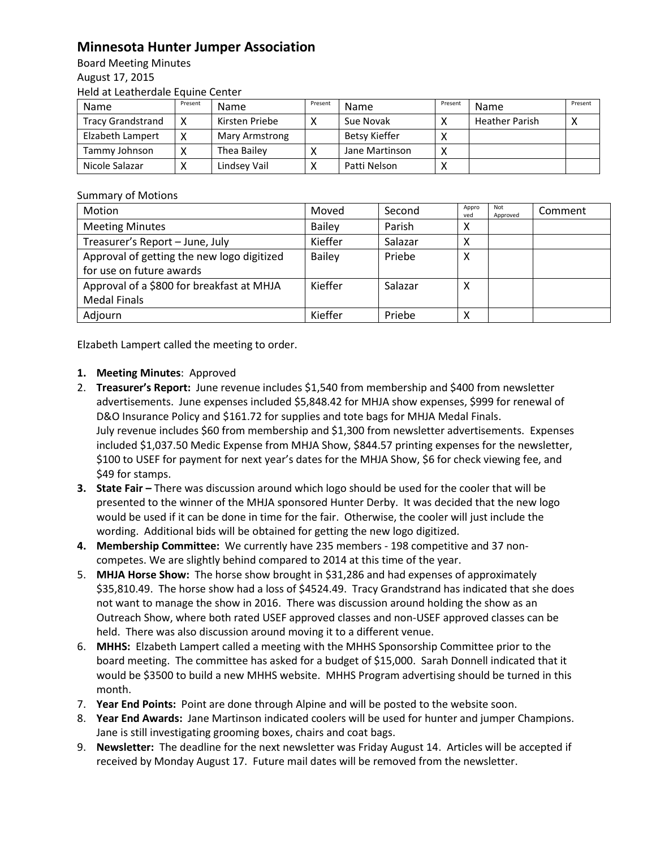## **Minnesota Hunter Jumper Association**

Board Meeting Minutes August 17, 2015 Held at Leatherdale Equine Center

| Name                     | Present | <b>Name</b>    | Present | Name           | Present      | Name                  | Present |
|--------------------------|---------|----------------|---------|----------------|--------------|-----------------------|---------|
| <b>Tracy Grandstrand</b> |         | Kirsten Priebe |         | Sue Novak      | $\mathbf{v}$ | <b>Heather Parish</b> |         |
| Elzabeth Lampert         |         | Mary Armstrong |         | Betsy Kieffer  |              |                       |         |
| Tammy Johnson            |         | Thea Bailey    |         | Jane Martinson | X            |                       |         |
| Nicole Salazar           |         | Lindsey Vail   |         | Patti Nelson   |              |                       |         |

## Summary of Motions

| Motion                                                                 | Moved         | Second  | Appro<br>ved | Not<br>Approved | Comment |
|------------------------------------------------------------------------|---------------|---------|--------------|-----------------|---------|
| <b>Meeting Minutes</b>                                                 | <b>Bailey</b> | Parish  | X            |                 |         |
| Treasurer's Report - June, July                                        | Kieffer       | Salazar | х            |                 |         |
| Approval of getting the new logo digitized<br>for use on future awards | <b>Bailey</b> | Priebe  | х            |                 |         |
| Approval of a \$800 for breakfast at MHJA<br><b>Medal Finals</b>       | Kieffer       | Salazar | X            |                 |         |
| Adjourn                                                                | Kieffer       | Priebe  | х            |                 |         |

Elzabeth Lampert called the meeting to order.

## **1. Meeting Minutes**: Approved

- 2. **Treasurer's Report:** June revenue includes \$1,540 from membership and \$400 from newsletter advertisements. June expenses included \$5,848.42 for MHJA show expenses, \$999 for renewal of D&O Insurance Policy and \$161.72 for supplies and tote bags for MHJA Medal Finals. July revenue includes \$60 from membership and \$1,300 from newsletter advertisements. Expenses included \$1,037.50 Medic Expense from MHJA Show, \$844.57 printing expenses for the newsletter, \$100 to USEF for payment for next year's dates for the MHJA Show, \$6 for check viewing fee, and \$49 for stamps.
- **3. State Fair There was discussion around which logo should be used for the cooler that will be** presented to the winner of the MHJA sponsored Hunter Derby. It was decided that the new logo would be used if it can be done in time for the fair. Otherwise, the cooler will just include the wording. Additional bids will be obtained for getting the new logo digitized.
- **4. Membership Committee:** We currently have 235 members 198 competitive and 37 noncompetes. We are slightly behind compared to 2014 at this time of the year.
- 5. **MHJA Horse Show:** The horse show brought in \$31,286 and had expenses of approximately \$35,810.49. The horse show had a loss of \$4524.49. Tracy Grandstrand has indicated that she does not want to manage the show in 2016. There was discussion around holding the show as an Outreach Show, where both rated USEF approved classes and non-USEF approved classes can be held. There was also discussion around moving it to a different venue.
- 6. **MHHS:** Elzabeth Lampert called a meeting with the MHHS Sponsorship Committee prior to the board meeting. The committee has asked for a budget of \$15,000. Sarah Donnell indicated that it would be \$3500 to build a new MHHS website. MHHS Program advertising should be turned in this month.
- 7. **Year End Points:** Point are done through Alpine and will be posted to the website soon.
- 8. **Year End Awards:** Jane Martinson indicated coolers will be used for hunter and jumper Champions. Jane is still investigating grooming boxes, chairs and coat bags.
- 9. **Newsletter:** The deadline for the next newsletter was Friday August 14. Articles will be accepted if received by Monday August 17. Future mail dates will be removed from the newsletter.